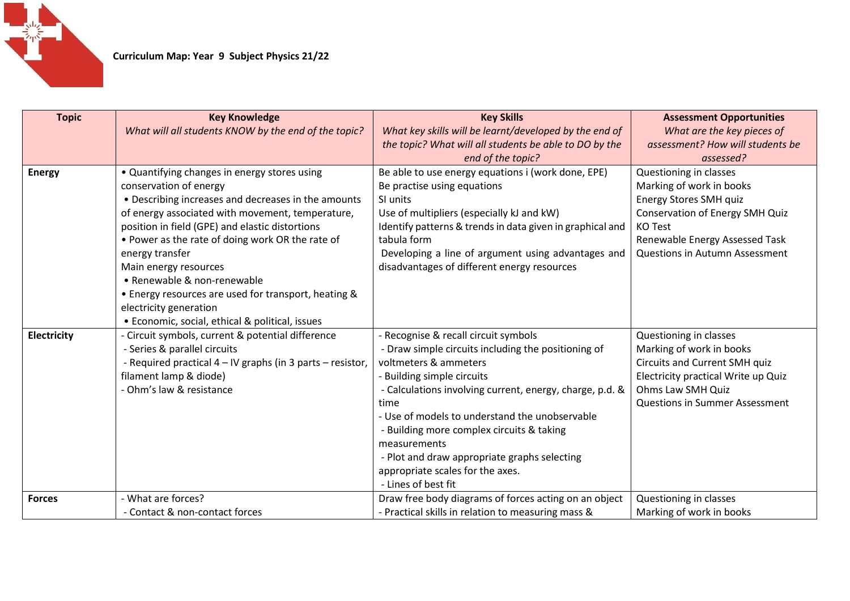

| <b>Topic</b>       | <b>Key Knowledge</b>                                       | <b>Key Skills</b>                                         | <b>Assessment Opportunities</b>        |
|--------------------|------------------------------------------------------------|-----------------------------------------------------------|----------------------------------------|
|                    | What will all students KNOW by the end of the topic?       | What key skills will be learnt/developed by the end of    | What are the key pieces of             |
|                    |                                                            | the topic? What will all students be able to DO by the    | assessment? How will students be       |
|                    |                                                            | end of the topic?                                         | assessed?                              |
| <b>Energy</b>      | • Quantifying changes in energy stores using               | Be able to use energy equations i (work done, EPE)        | Questioning in classes                 |
|                    | conservation of energy                                     | Be practise using equations                               | Marking of work in books               |
|                    | • Describing increases and decreases in the amounts        | SI units                                                  | Energy Stores SMH quiz                 |
|                    | of energy associated with movement, temperature,           | Use of multipliers (especially kJ and kW)                 | <b>Conservation of Energy SMH Quiz</b> |
|                    | position in field (GPE) and elastic distortions            | Identify patterns & trends in data given in graphical and | <b>KO Test</b>                         |
|                    | • Power as the rate of doing work OR the rate of           | tabula form                                               | Renewable Energy Assessed Task         |
|                    | energy transfer                                            | Developing a line of argument using advantages and        | Questions in Autumn Assessment         |
|                    | Main energy resources                                      | disadvantages of different energy resources               |                                        |
|                    | • Renewable & non-renewable                                |                                                           |                                        |
|                    | • Energy resources are used for transport, heating &       |                                                           |                                        |
|                    | electricity generation                                     |                                                           |                                        |
|                    | • Economic, social, ethical & political, issues            |                                                           |                                        |
| <b>Electricity</b> | - Circuit symbols, current & potential difference          | - Recognise & recall circuit symbols                      | Questioning in classes                 |
|                    | - Series & parallel circuits                               | - Draw simple circuits including the positioning of       | Marking of work in books               |
|                    | - Required practical 4 - IV graphs (in 3 parts - resistor, | voltmeters & ammeters                                     | <b>Circuits and Current SMH quiz</b>   |
|                    | filament lamp & diode)                                     | - Building simple circuits                                | Electricity practical Write up Quiz    |
|                    | - Ohm's law & resistance                                   | - Calculations involving current, energy, charge, p.d. &  | Ohms Law SMH Quiz                      |
|                    |                                                            | time                                                      | Questions in Summer Assessment         |
|                    |                                                            | - Use of models to understand the unobservable            |                                        |
|                    |                                                            | - Building more complex circuits & taking                 |                                        |
|                    |                                                            | measurements                                              |                                        |
|                    |                                                            | - Plot and draw appropriate graphs selecting              |                                        |
|                    |                                                            | appropriate scales for the axes.                          |                                        |
|                    |                                                            | - Lines of best fit                                       |                                        |
| <b>Forces</b>      | - What are forces?                                         | Draw free body diagrams of forces acting on an object     | Questioning in classes                 |
|                    | - Contact & non-contact forces                             | - Practical skills in relation to measuring mass &        | Marking of work in books               |